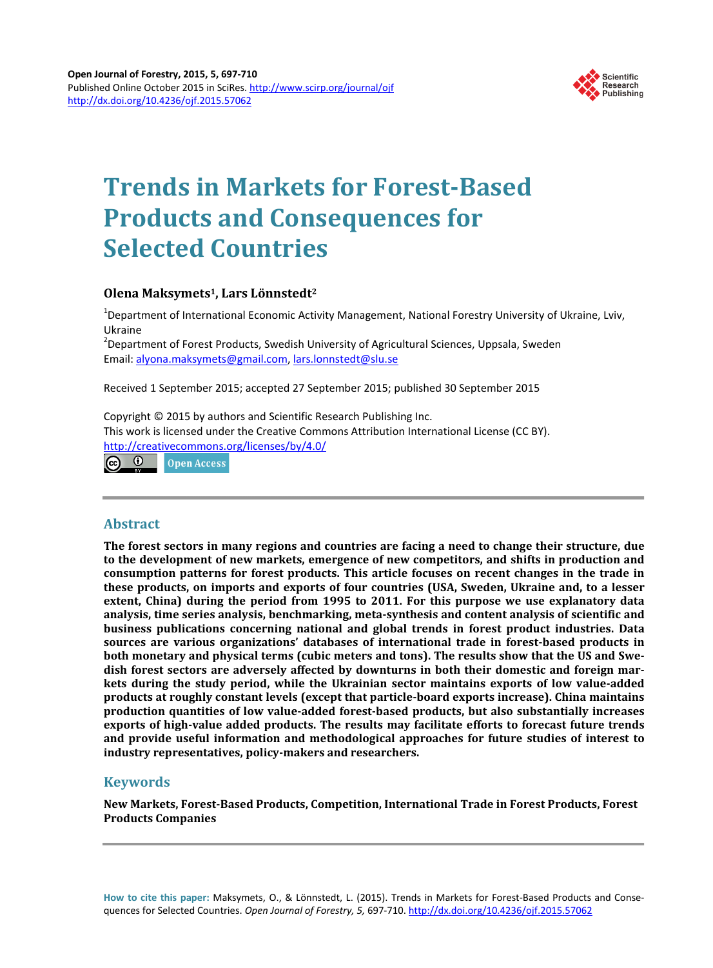

# **Trends in Markets for Forest-Based Products and Consequences for Selected Countries**

# **Olena Maksymets1, Lars Lönnstedt2**

<sup>1</sup>Department of International Economic Activity Management, National Forestry University of Ukraine, Lviv, Ukraine

<sup>2</sup>Department of Forest Products, Swedish University of Agricultural Sciences, Uppsala, Sweden Email: [alyona.maksymets@gmail.com,](mailto:alyona.maksymets@gmail.com) [lars.lonnstedt@slu.se](mailto:lars.lonnstedt@slu.se)

Received 1 September 2015; accepted 27 September 2015; published 30 September 2015

Copyright © 2015 by authors and Scientific Research Publishing Inc. This work is licensed under the Creative Commons Attribution International License (CC BY). <http://creativecommons.org/licenses/by/4.0/>

 $\bullet$ Open Access

# **Abstract**

**The forest sectors in many regions and countries are facing a need to change their structure, due to the development of new markets, emergence of new competitors, and shifts in production and consumption patterns for forest products. This article focuses on recent changes in the trade in these products, on imports and exports of four countries (USA, Sweden, Ukraine and, to a lesser extent, China) during the period from 1995 to 2011. For this purpose we use explanatory data analysis, time series analysis, benchmarking, meta-synthesis and content analysis of scientific and business publications concerning national and global trends in forest product industries. Data sources are various organizations' databases of international trade in forest-based products in both monetary and physical terms (cubic meters and tons). The results show that the US and Swedish forest sectors are adversely affected by downturns in both their domestic and foreign markets during the study period, while the Ukrainian sector maintains exports of low value-added products at roughly constant levels (except that particle-board exports increase). China maintains production quantities of low value-added forest-based products, but also substantially increases exports of high-value added products. The results may facilitate efforts to forecast future trends and provide useful information and methodological approaches for future studies of interest to industry representatives, policy-makers and researchers.**

# **Keywords**

**New Markets, Forest-Based Products, Competition, International Trade in Forest Products, Forest Products Companies**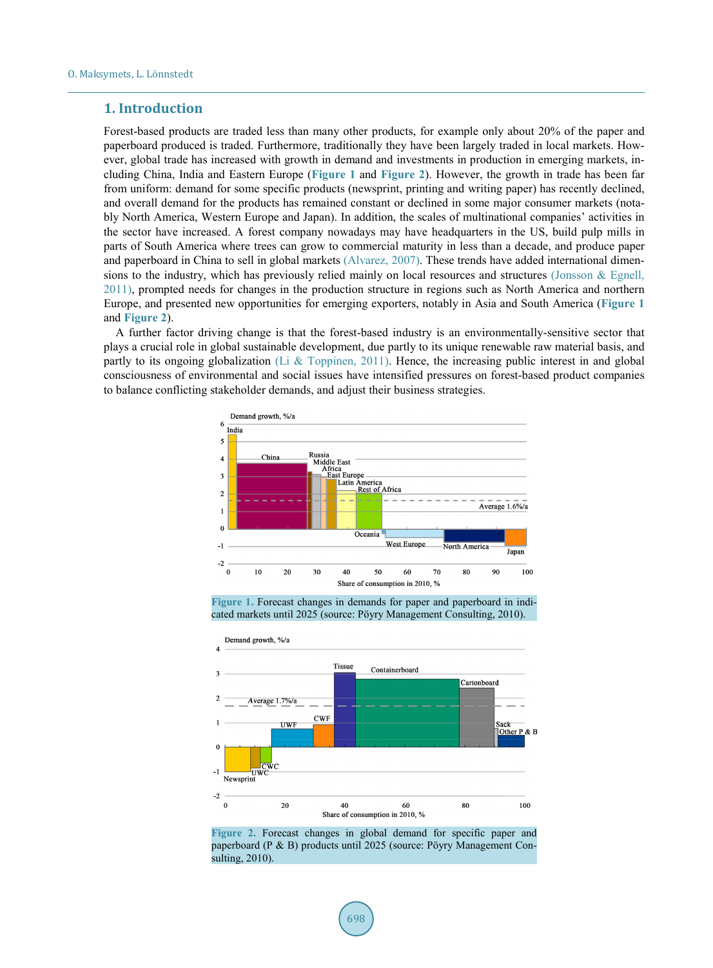# **1. Introduction**

Forest-based products are traded less than many other products, for example only about 20% of the paper and paperboard produced is traded. Furthermore, traditionally they have been largely traded in local markets. However, global trade has increased with growth in demand and investments in production in emerging markets, including China, India and Eastern Europe (**[Figure 1](#page-1-0)** and **[Figure 2](#page-1-1)**). However, the growth in trade has been far from uniform: demand for some specific products (newsprint, printing and writing paper) has recently declined, and overall demand for the products has remained constant or declined in some major consumer markets (notably North America, Western Europe and Japan). In addition, the scales of multinational companies' activities in the sector have increased. A forest company nowadays may have headquarters in the US, build pulp mills in parts of South America where trees can grow to commercial maturity in less than a decade, and produce paper and paperboard in China to sell in global markets [\(Alvarez, 2007\).](#page-12-0) These trends have added international dimensions to the industry, which has previously relied mainly on local resources and structures [\(Jonsson &](#page-12-0) Egnell, [2011\),](#page-12-0) prompted needs for changes in the production structure in regions such as North America and northern Europe, and presented new opportunities for emerging exporters, notably in Asia and South America (**[Figure 1](#page-1-0)** and **[Figure 2](#page-1-1)**).

<span id="page-1-0"></span>A further factor driving change is that the forest-based industry is an environmentally-sensitive sector that plays a crucial role in global sustainable development, due partly to its unique renewable raw material basis, and partly to its ongoing globalization (Li & [Toppinen, 2011\).](#page-12-0) Hence, the increasing public interest in and global consciousness of environmental and social issues have intensified pressures on forest-based product companies to balance conflicting stakeholder demands, and adjust their business strategies.





<span id="page-1-1"></span>

**Figure 2.** Forecast changes in global demand for specific paper and paperboard (P & B) products until 2025 (source: Pöyry Management Consulting, 2010).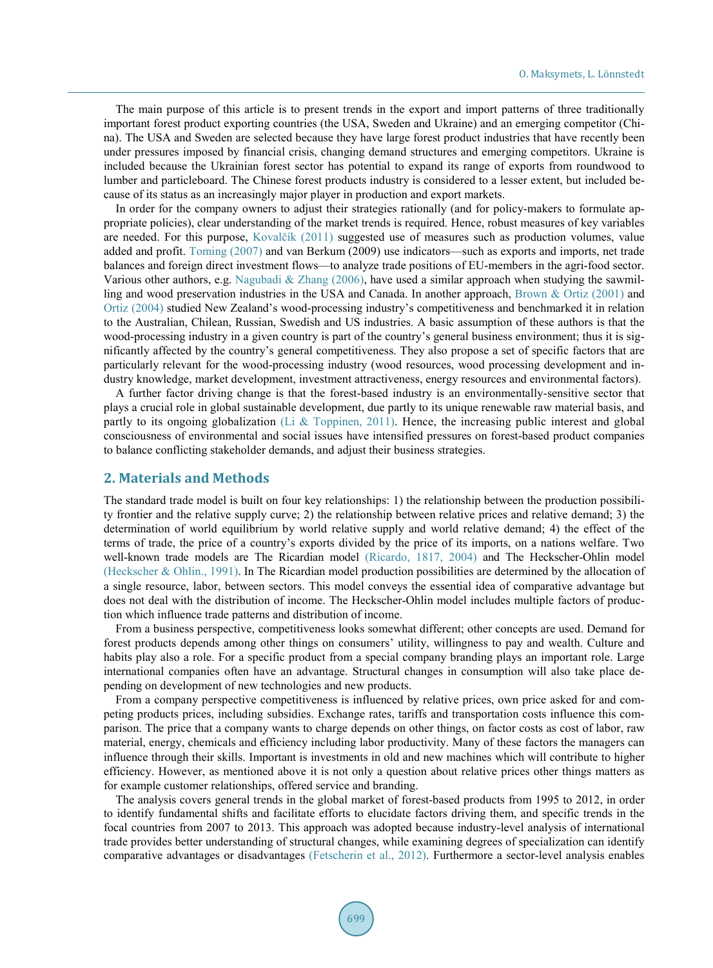The main purpose of this article is to present trends in the export and import patterns of three traditionally important forest product exporting countries (the USA, Sweden and Ukraine) and an emerging competitor (China). The USA and Sweden are selected because they have large forest product industries that have recently been under pressures imposed by financial crisis, changing demand structures and emerging competitors. Ukraine is included because the Ukrainian forest sector has potential to expand its range of exports from roundwood to lumber and particleboard. The Chinese forest products industry is considered to a lesser extent, but included because of its status as an increasingly major player in production and export markets.

In order for the company owners to adjust their strategies rationally (and for policy-makers to formulate appropriate policies), clear understanding of the market trends is required. Hence, robust measures of key variables are needed. For this purpose, [Kovalčík \(2011\)](#page-12-0) suggested use of measures such as production volumes, value added and profit. [Toming \(2007\)](#page-13-0) and van Berkum (2009) use indicators—such as exports and imports, net trade balances and foreign direct investment flows—to analyze trade positions of EU-members in the agri-food sector. Various other authors, e.g. Nagubadi & [Zhang \(2006\),](#page-13-0) have used a similar approach when studying the sawmilling and wood preservation industries in the USA and Canada. In another approach, Brown & [Ortiz \(2001\)](#page-12-0) and [Ortiz \(2004\) s](#page-13-0)tudied New Zealand's wood-processing industry's competitiveness and benchmarked it in relation to the Australian, Chilean, Russian, Swedish and US industries. A basic assumption of these authors is that the wood-processing industry in a given country is part of the country's general business environment; thus it is significantly affected by the country's general competitiveness. They also propose a set of specific factors that are particularly relevant for the wood-processing industry (wood resources, wood processing development and industry knowledge, market development, investment attractiveness, energy resources and environmental factors).

A further factor driving change is that the forest-based industry is an environmentally-sensitive sector that plays a crucial role in global sustainable development, due partly to its unique renewable raw material basis, and partly to its ongoing globalization (Li & [Toppinen, 2011\).](#page-12-0) Hence, the increasing public interest and global consciousness of environmental and social issues have intensified pressures on forest-based product companies to balance conflicting stakeholder demands, and adjust their business strategies.

# **2. Materials and Methods**

The standard trade model is built on four key relationships: 1) the relationship between the production possibility frontier and the relative supply curve; 2) the relationship between relative prices and relative demand; 3) the determination of world equilibrium by world relative supply and world relative demand; 4) the effect of the terms of trade, the price of a country's exports divided by the price of its imports, on a nations welfare. Two well-known trade models are The Ricardian model [\(Ricardo, 1817, 2004\)](#page-13-0) and The Heckscher-Ohlin model (Heckscher & [Ohlin., 1991\).](#page-12-0) In The Ricardian model production possibilities are determined by the allocation of a single resource, labor, between sectors. This model conveys the essential idea of comparative advantage but does not deal with the distribution of income. The Heckscher-Ohlin model includes multiple factors of production which influence trade patterns and distribution of income.

From a business perspective, competitiveness looks somewhat different; other concepts are used. Demand for forest products depends among other things on consumers' utility, willingness to pay and wealth. Culture and habits play also a role. For a specific product from a special company branding plays an important role. Large international companies often have an advantage. Structural changes in consumption will also take place depending on development of new technologies and new products.

From a company perspective competitiveness is influenced by relative prices, own price asked for and competing products prices, including subsidies. Exchange rates, tariffs and transportation costs influence this comparison. The price that a company wants to charge depends on other things, on factor costs as cost of labor, raw material, energy, chemicals and efficiency including labor productivity. Many of these factors the managers can influence through their skills. Important is investments in old and new machines which will contribute to higher efficiency. However, as mentioned above it is not only a question about relative prices other things matters as for example customer relationships, offered service and branding.

The analysis covers general trends in the global market of forest-based products from 1995 to 2012, in order to identify fundamental shifts and facilitate efforts to elucidate factors driving them, and specific trends in the focal countries from 2007 to 2013. This approach was adopted because industry-level analysis of international trade provides better understanding of structural changes, while examining degrees of specialization can identify comparative advantages or disadvantages [\(Fetscherin et al., 2012\).](#page-12-0) Furthermore a sector-level analysis enables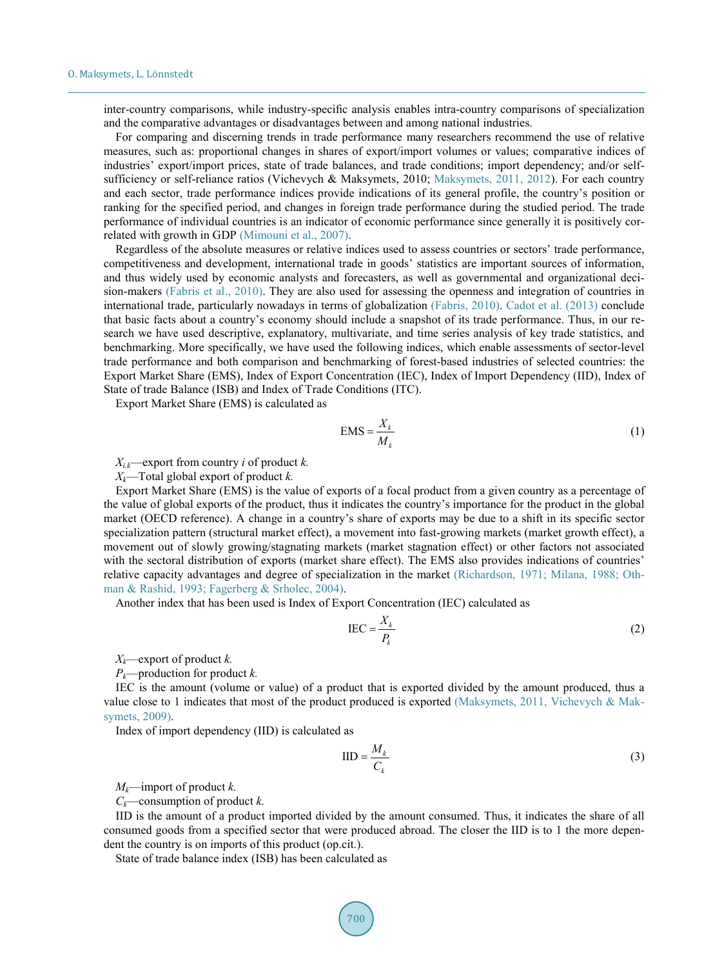inter-country comparisons, while industry-specific analysis enables intra-country comparisons of specialization and the comparative advantages or disadvantages between and among national industries.

For comparing and discerning trends in trade performance many researchers recommend the use of relative measures, such as: proportional changes in shares of export/import volumes or values; comparative indices of industries' export/import prices, state of trade balances, and trade conditions; import dependency; and/or self-sufficiency or self-reliance ratios (Vichevych & Maksymets, 2010; [Maksymets, 2011, 2012\)](#page-12-0). For each country and each sector, trade performance indices provide indications of its general profile, the country's position or ranking for the specified period, and changes in foreign trade performance during the studied period. The trade performance of individual countries is an indicator of economic performance since generally it is positively correlated with growth in GDP [\(Mimouni et al., 2007\).](#page-12-0)

Regardless of the absolute measures or relative indices used to assess countries or sectors' trade performance, competitiveness and development, international trade in goods' statistics are important sources of information, and thus widely used by economic analysts and forecasters, as well as governmental and organizational deci-sion-makers [\(Fabris et al., 2010\).](#page-12-0) They are also used for assessing the openness and integration of countries in international trade, particularly nowadays in terms of globalization [\(Fabris, 2010\). Cadot et al. \(2013\)](#page-12-0) conclude that basic facts about a country's economy should include a snapshot of its trade performance. Thus, in our research we have used descriptive, explanatory, multivariate, and time series analysis of key trade statistics, and benchmarking. More specifically, we have used the following indices, which enable assessments of sector-level trade performance and both comparison and benchmarking of forest-based industries of selected countries: the Export Market Share (EMS), Index of Export Concentration (IEC), Index of Import Dependency (IID), Index of State of trade Balance (ISB) and Index of Trade Conditions (ITC).

Export Market Share (EMS) is calculated as

$$
EMS = \frac{X_k}{M_k} \tag{1}
$$

 $X_{ik}$ —export from country *i* of product *k*.

*Xk*—Total global export of product *k.*

Export Market Share (EMS) is the value of exports of a focal product from a given country as a percentage of the value of global exports of the product, thus it indicates the country's importance for the product in the global market (OECD reference). A change in a country's share of exports may be due to a shift in its specific sector specialization pattern (structural market effect), a movement into fast-growing markets (market growth effect), a movement out of slowly growing/stagnating markets (market stagnation effect) or other factors not associated with the sectoral distribution of exports (market share effect). The EMS also provides indications of countries' relative capacity advantages and degree of specialization in the market [\(Richardson, 1971; Milana, 1988;](#page-13-0) [Oth](#page-13-0)man & [Rashid, 1993;](#page-13-0) Fagerberg & [Srholec, 2004\).](#page-12-0)

Another index that has been used is Index of Export Concentration (IEC) calculated as

$$
\text{IEC} = \frac{X_k}{P_k} \tag{2}
$$

*Xk*—export of product *k.*

*Pk*—production for product *k.*

IEC is the amount (volume or value) of a product that is exported divided by the amount produced, thus a value close to 1 indicates that most of the product produced is exported [\(Maksymets, 2011, Vichevych &](#page-12-0) Mak[symets, 2009\).](#page-12-0)

Index of import dependency (IID) is calculated as

$$
IID = \frac{M_k}{C_k} \tag{3}
$$

*Mk*—import of product *k.*

 $C_k$ —consumption of product *k*.

IID is the amount of a product imported divided by the amount consumed. Thus, it indicates the share of all consumed goods from a specified sector that were produced abroad. The closer the IID is to 1 the more dependent the country is on imports of this product (op.cit.).

State of trade balance index (ISB) has been calculated as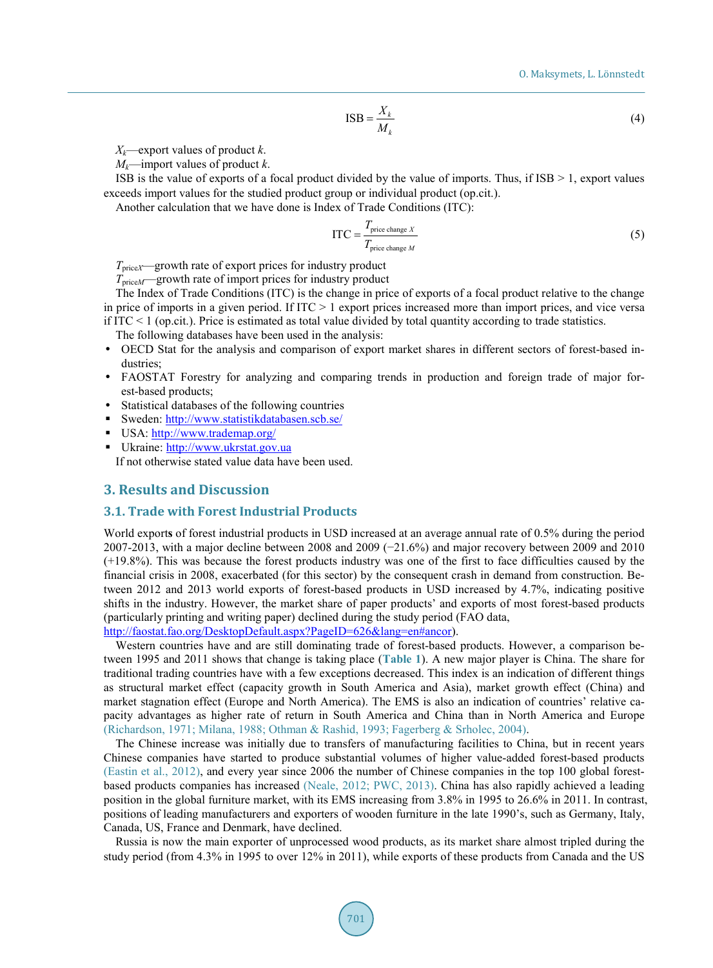$$
ISB = \frac{X_k}{M_k} \tag{4}
$$

 $X_k$ —export values of product *k*.

 $M_k$ —import values of product *k*.

ISB is the value of exports of a focal product divided by the value of imports. Thus, if  $ISBN > 1$ , export values exceeds import values for the studied product group or individual product (op.cit.).

Another calculation that we have done is Index of Trade Conditions (ITC):

$$
ITC = \frac{T_{\text{price change } X}}{T_{\text{price change } M}}
$$
(5)

*T*price*<sup>X</sup>*—growth rate of export prices for industry product

*T*price*<sup>M</sup>*—growth rate of import prices for industry product

The Index of Trade Conditions (ITC) is the change in price of exports of a focal product relative to the change in price of imports in a given period. If  $ITC > 1$  export prices increased more than import prices, and vice versa if ITC  $\leq 1$  (op.cit.). Price is estimated as total value divided by total quantity according to trade statistics.

The following databases have been used in the analysis:

- OECD Stat for the analysis and comparison of export market shares in different sectors of forest-based industries;
- FAOSTAT Forestry for analyzing and comparing trends in production and foreign trade of major forest-based products;
- Statistical databases of the following countries
- Sweden:<http://www.statistikdatabasen.scb.se/>
- USA:<http://www.trademap.org/>
- Ukraine: [http://www.ukrstat.gov.ua](http://www.ukrstat.gov.ua/) If not otherwise stated value data have been used.

# **3. Results and Discussion**

## **3.1. Trade with Forest Industrial Products**

World exports of forest industrial products in USD increased at an average annual rate of 0.5% during the period 2007-2013, with a major decline between 2008 and 2009 (−21.6%) and major recovery between 2009 and 2010 (+19.8%). This was because the forest products industry was one of the first to face difficulties caused by the financial crisis in 2008, exacerbated (for this sector) by the consequent crash in demand from construction. Between 2012 and 2013 world exports of forest-based products in USD increased by 4.7%, indicating positive shifts in the industry. However, the market share of paper products' and exports of most forest-based products (particularly printing and writing paper) declined during the study period (FAO data,

[http://faostat.fao.org/DesktopDefault.aspx?PageID=626&lang=en#ancor\)](http://faostat.fao.org/DesktopDefault.aspx?PageID=626&lang=en%23ancor).

Western countries have and are still dominating trade of forest-based products. However, a comparison between 1995 and 2011 shows that change is taking place (**[Table 1](#page-5-0)**). A new major player is China. The share for traditional trading countries have with a few exceptions decreased. This index is an indication of different things as structural market effect (capacity growth in South America and Asia), market growth effect (China) and market stagnation effect (Europe and North America). The EMS is also an indication of countries' relative capacity advantages as higher rate of return in South America and China than in North America and Europe [\(Richardson, 1971; Milana, 1988;](#page-13-0) Othman & [Rashid, 1993; F](#page-13-0)agerberg & [Srholec, 2004\).](#page-13-0)

The Chinese increase was initially due to transfers of manufacturing facilities to China, but in recent years Chinese companies have started to produce substantial volumes of higher value-added forest-based products [\(Eastin et al., 2012\),](#page-12-0) and every year since 2006 the number of Chinese companies in the top 100 global forestbased products companies has increased [\(Neale, 2012; PWC, 2013\).](#page-13-0) China has also rapidly achieved a leading position in the global furniture market, with its EMS increasing from 3.8% in 1995 to 26.6% in 2011. In contrast, positions of leading manufacturers and exporters of wooden furniture in the late 1990's, such as Germany, Italy, Canada, US, France and Denmark, have declined.

Russia is now the main exporter of unprocessed wood products, as its market share almost tripled during the study period (from 4.3% in 1995 to over 12% in 2011), while exports of these products from Canada and the US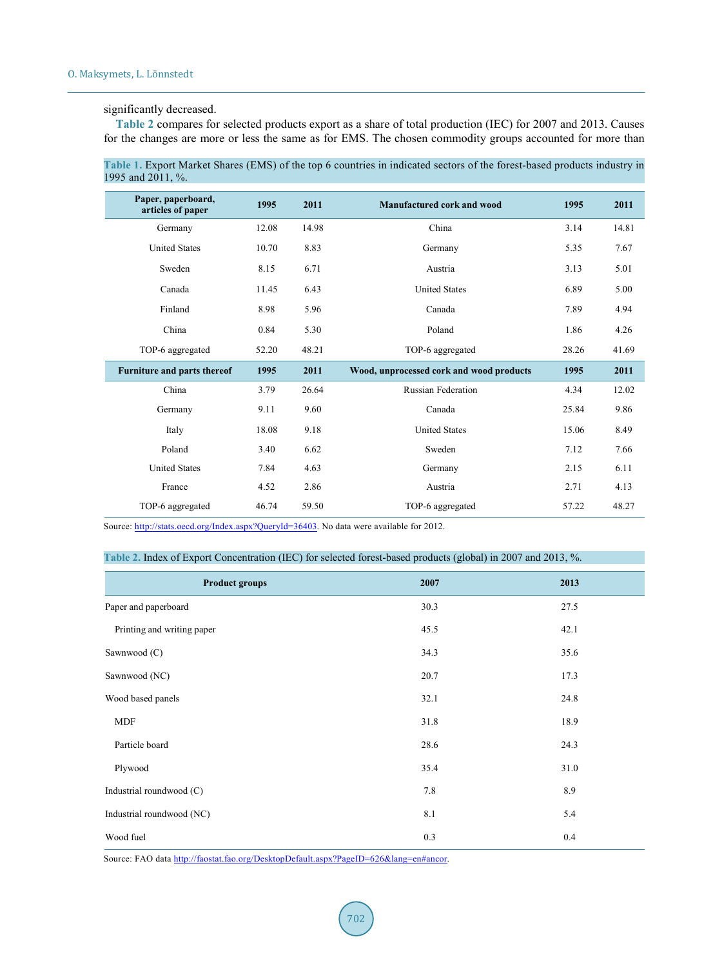significantly decreased.

**[Table 2](#page-5-1)** compares for selected products export as a share of total production (IEC) for 2007 and 2013. Causes for the changes are more or less the same as for EMS. The chosen commodity groups accounted for more than

<span id="page-5-0"></span>**Table 1.** Export Market Shares (EMS) of the top 6 countries in indicated sectors of the forest-based products industry in 1995 and 2011, %.

| Paper, paperboard,<br>articles of paper | 1995  | 2011  | <b>Manufactured cork and wood</b>        | 1995  | 2011  |
|-----------------------------------------|-------|-------|------------------------------------------|-------|-------|
| Germany                                 | 12.08 | 14.98 | China                                    | 3.14  | 14.81 |
| <b>United States</b>                    | 10.70 | 8.83  | Germany                                  | 5.35  | 7.67  |
| Sweden                                  | 8.15  | 6.71  | Austria                                  | 3.13  | 5.01  |
| Canada                                  | 11.45 | 6.43  | <b>United States</b>                     | 6.89  | 5.00  |
| Finland                                 | 8.98  | 5.96  | Canada                                   | 7.89  | 4.94  |
| China                                   | 0.84  | 5.30  | Poland                                   | 1.86  | 4.26  |
| TOP-6 aggregated                        | 52.20 | 48.21 | TOP-6 aggregated                         | 28.26 | 41.69 |
| Furniture and parts thereof             | 1995  | 2011  | Wood, unprocessed cork and wood products | 1995  | 2011  |
| China                                   | 3.79  | 26.64 | <b>Russian Federation</b>                | 4.34  | 12.02 |
| Germany                                 | 9.11  | 9.60  | Canada                                   | 25.84 | 9.86  |
| Italy                                   | 18.08 | 9.18  | <b>United States</b>                     | 15.06 | 8.49  |
| Poland                                  | 3.40  | 6.62  | Sweden                                   | 7.12  | 7.66  |
| <b>United States</b>                    | 7.84  | 4.63  | Germany                                  | 2.15  | 6.11  |
| France                                  | 4.52  | 2.86  | Austria                                  | 2.71  | 4.13  |
| TOP-6 aggregated                        | 46.74 | 59.50 | TOP-6 aggregated                         | 57.22 | 48.27 |

Source[: http://stats.oecd.org/Index.aspx?QueryId=36403.](http://stats.oecd.org/Index.aspx?QueryId=36403) No data were available for 2012.

## <span id="page-5-1"></span>**Table 2.** Index of Export Concentration (IEC) for selected forest-based products (global) in 2007 and 2013, %.

| <b>Product groups</b>      | 2007 | 2013 |
|----------------------------|------|------|
| Paper and paperboard       | 30.3 | 27.5 |
| Printing and writing paper | 45.5 | 42.1 |
| Sawnwood (C)               | 34.3 | 35.6 |
| Sawnwood (NC)              | 20.7 | 17.3 |
| Wood based panels          | 32.1 | 24.8 |
| <b>MDF</b>                 | 31.8 | 18.9 |
| Particle board             | 28.6 | 24.3 |
| Plywood                    | 35.4 | 31.0 |
| Industrial roundwood (C)   | 7.8  | 8.9  |
| Industrial roundwood (NC)  | 8.1  | 5.4  |
| Wood fuel                  | 0.3  | 0.4  |

Source: FAO dat[a http://faostat.fao.org/DesktopDefault.aspx?PageID=626&lang=en#ancor.](http://faostat.fao.org/DesktopDefault.aspx?PageID=626&lang=en%23ancor)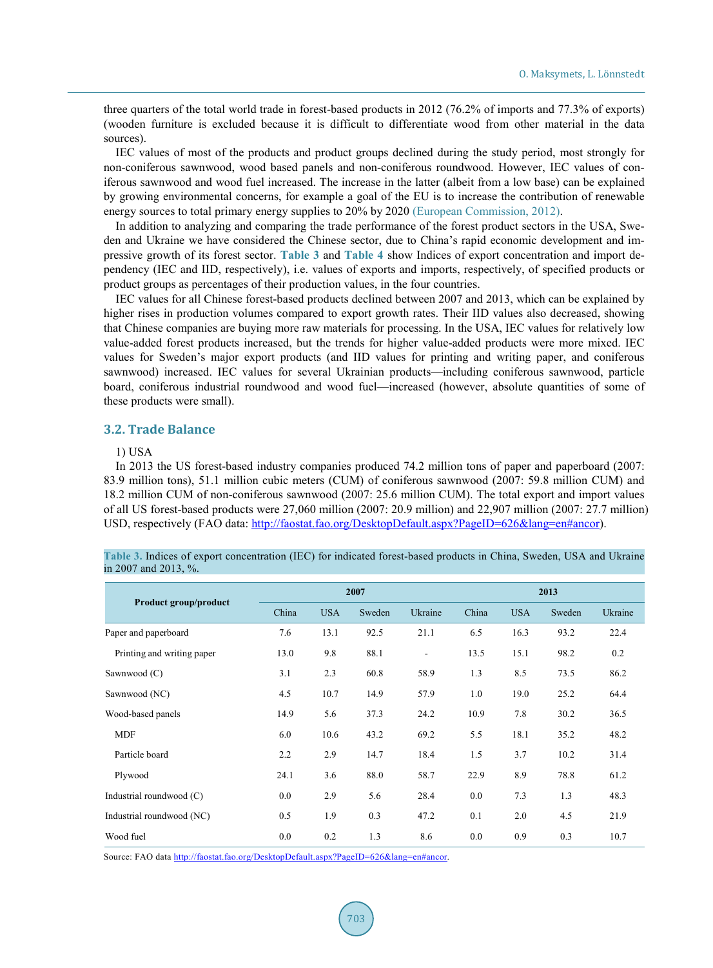three quarters of the total world trade in forest-based products in 2012 (76.2% of imports and 77.3% of exports) (wooden furniture is excluded because it is difficult to differentiate wood from other material in the data sources).

IEC values of most of the products and product groups declined during the study period, most strongly for non-coniferous sawnwood, wood based panels and non-coniferous roundwood. However, IEC values of coniferous sawnwood and wood fuel increased. The increase in the latter (albeit from a low base) can be explained by growing environmental concerns, for example a goal of the EU is to increase the contribution of renewable energy sources to total primary energy supplies to 20% by 2020 [\(European Commission, 2012\).](#page-12-0)

In addition to analyzing and comparing the trade performance of the forest product sectors in the USA, Sweden and Ukraine we have considered the Chinese sector, due to China's rapid economic development and impressive growth of its forest sector. **[Table 3](#page-6-0)** and **[Table](#page-7-0) 4** show Indices of export concentration and import dependency (IEC and IID, respectively), i.e. values of exports and imports, respectively, of specified products or product groups as percentages of their production values, in the four countries.

IEC values for all Chinese forest-based products declined between 2007 and 2013, which can be explained by higher rises in production volumes compared to export growth rates. Their IID values also decreased, showing that Chinese companies are buying more raw materials for processing. In the USA, IEC values for relatively low value-added forest products increased, but the trends for higher value-added products were more mixed. IEC values for Sweden's major export products (and IID values for printing and writing paper, and coniferous sawnwood) increased. IEC values for several Ukrainian products—including coniferous sawnwood, particle board, coniferous industrial roundwood and wood fuel—increased (however, absolute quantities of some of these products were small).

# **3.2. Trade Balance**

## 1) USA

In 2013 the US forest-based industry companies produced 74.2 million tons of paper and paperboard (2007: 83.9 million tons), 51.1 million cubic meters (CUM) of coniferous sawnwood (2007: 59.8 million CUM) and 18.2 million CUM of non-coniferous sawnwood (2007: 25.6 million CUM). The total export and import values of all US forest-based products were 27,060 million (2007: 20.9 million) and 22,907 million (2007: 27.7 million) USD, respectively (FAO data: [http://faostat.fao.org/DesktopDefault.aspx?PageID=626&lang=en#ancor\)](http://faostat.fao.org/DesktopDefault.aspx?PageID=626&lang=en%23ancor).

<span id="page-6-0"></span>**Table 3.** Indices of export concentration (IEC) for indicated forest-based products in China, Sweden, USA and Ukraine in 2007 and 2013, %.

|                            |       |            | 2007   |                          | 2013  |            |        |         |
|----------------------------|-------|------------|--------|--------------------------|-------|------------|--------|---------|
| Product group/product      | China | <b>USA</b> | Sweden | Ukraine                  | China | <b>USA</b> | Sweden | Ukraine |
| Paper and paperboard       | 7.6   | 13.1       | 92.5   | 21.1                     | 6.5   | 16.3       | 93.2   | 22.4    |
| Printing and writing paper | 13.0  | 9.8        | 88.1   | $\overline{\phantom{a}}$ | 13.5  | 15.1       | 98.2   | 0.2     |
| Sawnwood (C)               | 3.1   | 2.3        | 60.8   | 58.9                     | 1.3   | 8.5        | 73.5   | 86.2    |
| Sawnwood (NC)              | 4.5   | 10.7       | 14.9   | 57.9                     | 1.0   | 19.0       | 25.2   | 64.4    |
| Wood-based panels          | 14.9  | 5.6        | 37.3   | 24.2                     | 10.9  | 7.8        | 30.2   | 36.5    |
| <b>MDF</b>                 | 6.0   | 10.6       | 43.2   | 69.2                     | 5.5   | 18.1       | 35.2   | 48.2    |
| Particle board             | 2.2   | 2.9        | 14.7   | 18.4                     | 1.5   | 3.7        | 10.2   | 31.4    |
| Plywood                    | 24.1  | 3.6        | 88.0   | 58.7                     | 22.9  | 8.9        | 78.8   | 61.2    |
| Industrial roundwood (C)   | 0.0   | 2.9        | 5.6    | 28.4                     | 0.0   | 7.3        | 1.3    | 48.3    |
| Industrial roundwood (NC)  | 0.5   | 1.9        | 0.3    | 47.2                     | 0.1   | 2.0        | 4.5    | 21.9    |
| Wood fuel                  | 0.0   | 0.2        | 1.3    | 8.6                      | 0.0   | 0.9        | 0.3    | 10.7    |

Source: FAO dat[a http://faostat.fao.org/DesktopDefault.aspx?PageID=626&lang=en#ancor.](http://faostat.fao.org/DesktopDefault.aspx?PageID=626&lang=en%23ancor)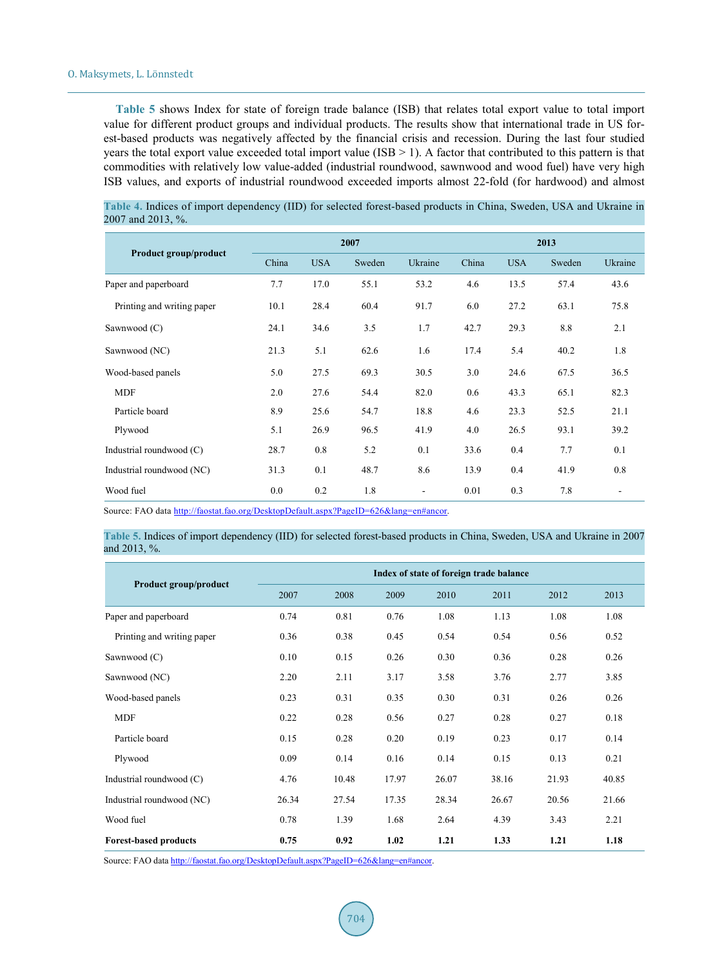**[Table 5](#page-7-1)** shows Index for state of foreign trade balance (ISB) that relates total export value to total import value for different product groups and individual products. The results show that international trade in US forest-based products was negatively affected by the financial crisis and recession. During the last four studied years the total export value exceeded total import value (ISB  $>$  1). A factor that contributed to this pattern is that commodities with relatively low value-added (industrial roundwood, sawnwood and wood fuel) have very high ISB values, and exports of industrial roundwood exceeded imports almost 22-fold (for hardwood) and almost

<span id="page-7-0"></span>**Table 4.** Indices of import dependency (IID) for selected forest-based products in China, Sweden, USA and Ukraine in 2007 and 2013, %.

|                            |       |            | 2007   |                          | 2013  |            |        |                |
|----------------------------|-------|------------|--------|--------------------------|-------|------------|--------|----------------|
| Product group/product      | China | <b>USA</b> | Sweden | Ukraine                  | China | <b>USA</b> | Sweden | Ukraine        |
| Paper and paperboard       | 7.7   | 17.0       | 55.1   | 53.2                     | 4.6   | 13.5       | 57.4   | 43.6           |
| Printing and writing paper | 10.1  | 28.4       | 60.4   | 91.7                     | 6.0   | 27.2       | 63.1   | 75.8           |
| Sawnwood (C)               | 24.1  | 34.6       | 3.5    | 1.7                      | 42.7  | 29.3       | 8.8    | 2.1            |
| Sawnwood (NC)              | 21.3  | 5.1        | 62.6   | 1.6                      | 17.4  | 5.4        | 40.2   | 1.8            |
| Wood-based panels          | 5.0   | 27.5       | 69.3   | 30.5                     | 3.0   | 24.6       | 67.5   | 36.5           |
| <b>MDF</b>                 | 2.0   | 27.6       | 54.4   | 82.0                     | 0.6   | 43.3       | 65.1   | 82.3           |
| Particle board             | 8.9   | 25.6       | 54.7   | 18.8                     | 4.6   | 23.3       | 52.5   | 21.1           |
| Plywood                    | 5.1   | 26.9       | 96.5   | 41.9                     | 4.0   | 26.5       | 93.1   | 39.2           |
| Industrial roundwood (C)   | 28.7  | 0.8        | 5.2    | 0.1                      | 33.6  | 0.4        | 7.7    | 0.1            |
| Industrial roundwood (NC)  | 31.3  | 0.1        | 48.7   | 8.6                      | 13.9  | 0.4        | 41.9   | 0.8            |
| Wood fuel                  | 0.0   | 0.2        | 1.8    | $\overline{\phantom{a}}$ | 0.01  | 0.3        | 7.8    | $\blacksquare$ |

Source: FAO dat[a http://faostat.fao.org/DesktopDefault.aspx?PageID=626&lang=en#ancor.](http://faostat.fao.org/DesktopDefault.aspx?PageID=626&lang=en%23ancor)

<span id="page-7-1"></span>**Table 5.** Indices of import dependency (IID) for selected forest-based products in China, Sweden, USA and Ukraine in 2007 and 2013, %.

|                              | Index of state of foreign trade balance |       |       |       |       |       |       |  |  |  |
|------------------------------|-----------------------------------------|-------|-------|-------|-------|-------|-------|--|--|--|
| Product group/product        | 2007                                    | 2008  | 2009  | 2010  | 2011  | 2012  | 2013  |  |  |  |
| Paper and paperboard         | 0.74                                    | 0.81  | 0.76  | 1.08  | 1.13  | 1.08  | 1.08  |  |  |  |
| Printing and writing paper   | 0.36                                    | 0.38  | 0.45  | 0.54  | 0.54  | 0.56  | 0.52  |  |  |  |
| Sawnwood (C)                 | 0.10                                    | 0.15  | 0.26  | 0.30  | 0.36  | 0.28  | 0.26  |  |  |  |
| Sawnwood (NC)                | 2.20                                    | 2.11  | 3.17  | 3.58  | 3.76  | 2.77  | 3.85  |  |  |  |
| Wood-based panels            | 0.23                                    | 0.31  | 0.35  | 0.30  | 0.31  | 0.26  | 0.26  |  |  |  |
| <b>MDF</b>                   | 0.22                                    | 0.28  | 0.56  | 0.27  | 0.28  | 0.27  | 0.18  |  |  |  |
| Particle board               | 0.15                                    | 0.28  | 0.20  | 0.19  | 0.23  | 0.17  | 0.14  |  |  |  |
| Plywood                      | 0.09                                    | 0.14  | 0.16  | 0.14  | 0.15  | 0.13  | 0.21  |  |  |  |
| Industrial roundwood (C)     | 4.76                                    | 10.48 | 17.97 | 26.07 | 38.16 | 21.93 | 40.85 |  |  |  |
| Industrial roundwood (NC)    | 26.34                                   | 27.54 | 17.35 | 28.34 | 26.67 | 20.56 | 21.66 |  |  |  |
| Wood fuel                    | 0.78                                    | 1.39  | 1.68  | 2.64  | 4.39  | 3.43  | 2.21  |  |  |  |
| <b>Forest-based products</b> | 0.75                                    | 0.92  | 1.02  | 1.21  | 1.33  | 1.21  | 1.18  |  |  |  |

Source: FAO dat[a http://faostat.fao.org/DesktopDefault.aspx?PageID=626&lang=en#ancor.](http://faostat.fao.org/DesktopDefault.aspx?PageID=626&lang=en%23ancor)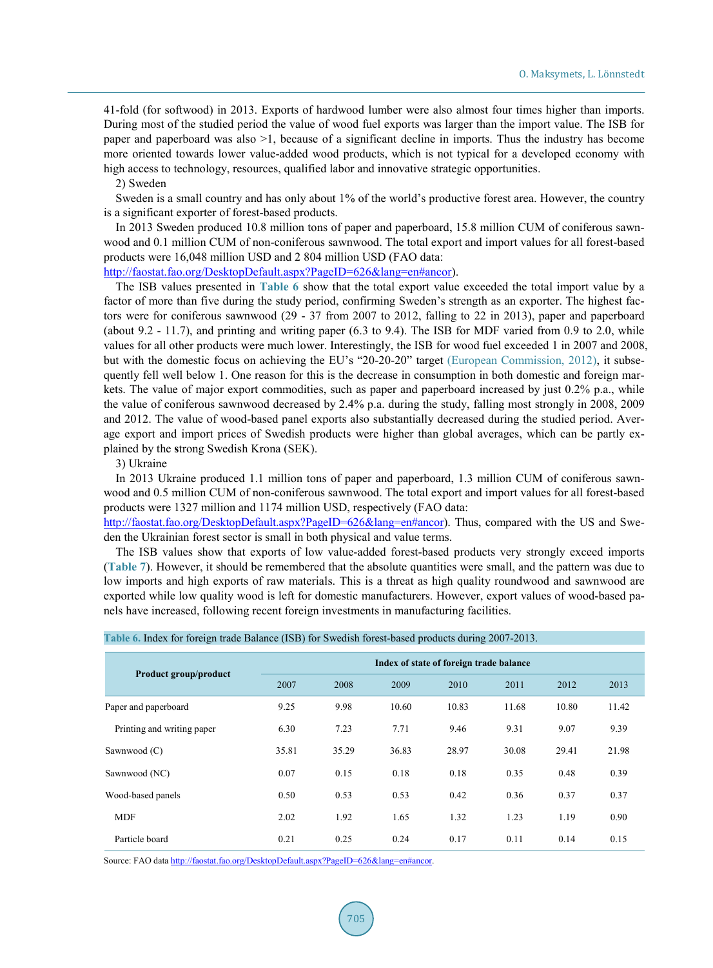41-fold (for softwood) in 2013. Exports of hardwood lumber were also almost four times higher than imports. During most of the studied period the value of wood fuel exports was larger than the import value. The ISB for paper and paperboard was also >1, because of a significant decline in imports. Thus the industry has become more oriented towards lower value-added wood products, which is not typical for a developed economy with high access to technology, resources, qualified labor and innovative strategic opportunities.

#### 2) Sweden

Sweden is a small country and has only about 1% of the world's productive forest area. However, the country is a significant exporter of forest-based products.

In 2013 Sweden produced 10.8 million tons of paper and paperboard, 15.8 million CUM of coniferous sawnwood and 0.1 million CUM of non-coniferous sawnwood. The total export and import values for all forest-based products were 16,048 million USD and 2 804 million USD (FAO data:

[http://faostat.fao.org/DesktopDefault.aspx?PageID=626&lang=en#ancor\)](http://faostat.fao.org/DesktopDefault.aspx?PageID=626&lang=en%23ancor).

The ISB values presented in **[Table 6](#page-8-0)** show that the total export value exceeded the total import value by a factor of more than five during the study period, confirming Sweden's strength as an exporter. The highest factors were for coniferous sawnwood (29 - 37 from 2007 to 2012, falling to 22 in 2013), paper and paperboard (about 9.2 - 11.7), and printing and writing paper (6.3 to 9.4). The ISB for MDF varied from 0.9 to 2.0, while values for all other products were much lower. Interestingly, the ISB for wood fuel exceeded 1 in 2007 and 2008, but with the domestic focus on achieving the EU's "20-20-20" target [\(European Commission, 2012\),](#page-12-0) it subsequently fell well below 1. One reason for this is the decrease in consumption in both domestic and foreign markets. The value of major export commodities, such as paper and paperboard increased by just 0.2% p.a., while the value of coniferous sawnwood decreased by 2.4% p.a. during the study, falling most strongly in 2008, 2009 and 2012. The value of wood-based panel exports also substantially decreased during the studied period. Average export and import prices of Swedish products were higher than global averages, which can be partly explained by the **s**trong Swedish Krona (SEK).

#### 3) Ukraine

In 2013 Ukraine produced 1.1 million tons of paper and paperboard, 1.3 million CUM of coniferous sawnwood and 0.5 million CUM of non-coniferous sawnwood. The total export and import values for all forest-based products were 1327 million and 1174 million USD, respectively (FAO data:

[http://faostat.fao.org/DesktopDefault.aspx?PageID=626&lang=en#ancor\)](http://faostat.fao.org/DesktopDefault.aspx?PageID=626&lang=en%23ancor). Thus, compared with the US and Sweden the Ukrainian forest sector is small in both physical and value terms.

The ISB values show that exports of low value-added forest-based products very strongly exceed imports (**[Table 7](#page-9-0)**). However, it should be remembered that the absolute quantities were small, and the pattern was due to low imports and high exports of raw materials. This is a threat as high quality roundwood and sawnwood are exported while low quality wood is left for domestic manufacturers. However, export values of wood-based panels have increased, following recent foreign investments in manufacturing facilities.

| <b>Product group/product</b> |       | Index of state of foreign trade balance |       |       |       |       |       |  |  |  |  |
|------------------------------|-------|-----------------------------------------|-------|-------|-------|-------|-------|--|--|--|--|
|                              | 2007  | 2008                                    | 2009  | 2010  | 2011  | 2012  | 2013  |  |  |  |  |
| Paper and paperboard         | 9.25  | 9.98                                    | 10.60 | 10.83 | 11.68 | 10.80 | 11.42 |  |  |  |  |
| Printing and writing paper   | 6.30  | 7.23                                    | 7.71  | 9.46  | 9.31  | 9.07  | 9.39  |  |  |  |  |
| Sawnwood (C)                 | 35.81 | 35.29                                   | 36.83 | 28.97 | 30.08 | 29.41 | 21.98 |  |  |  |  |
| Sawnwood (NC)                | 0.07  | 0.15                                    | 0.18  | 0.18  | 0.35  | 0.48  | 0.39  |  |  |  |  |
| Wood-based panels            | 0.50  | 0.53                                    | 0.53  | 0.42  | 0.36  | 0.37  | 0.37  |  |  |  |  |
| <b>MDF</b>                   | 2.02  | 1.92                                    | 1.65  | 1.32  | 1.23  | 1.19  | 0.90  |  |  |  |  |
| Particle board               | 0.21  | 0.25                                    | 0.24  | 0.17  | 0.11  | 0.14  | 0.15  |  |  |  |  |

#### <span id="page-8-0"></span>**Table 6.** Index for foreign trade Balance (ISB) for Swedish forest-based products during 2007-2013.

Source: FAO dat[a http://faostat.fao.org/DesktopDefault.aspx?PageID=626&lang=en#ancor.](http://faostat.fao.org/DesktopDefault.aspx?PageID=626&lang=en%23ancor)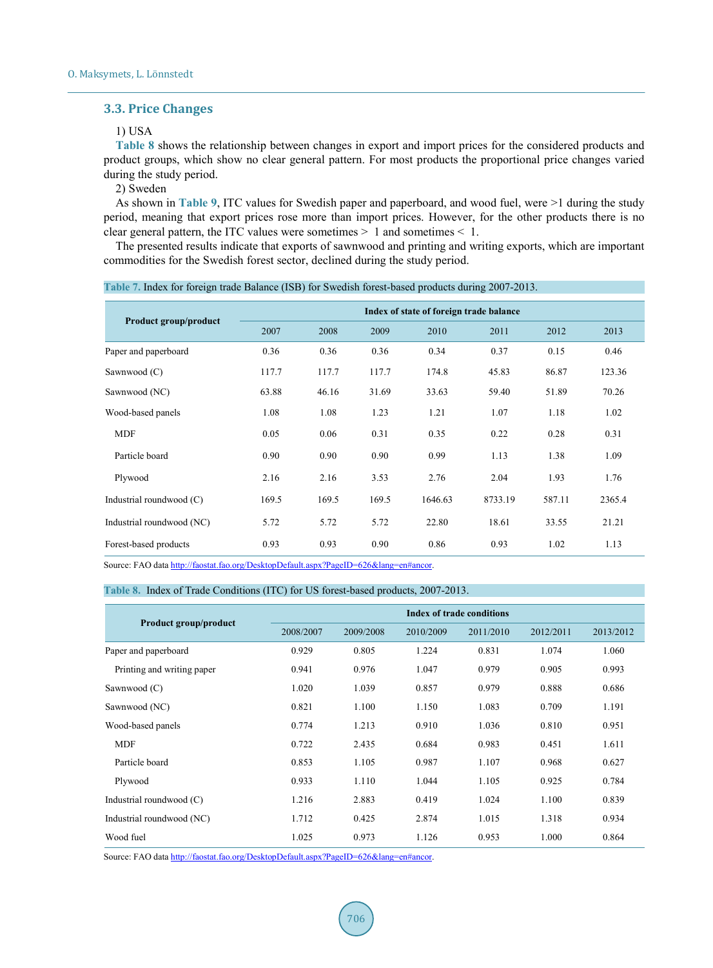# **3.3. Price Changes**

### 1) USA

**[Table 8](#page-9-1)** shows the relationship between changes in export and import prices for the considered products and product groups, which show no clear general pattern. For most products the proportional price changes varied during the study period.

2) Sweden

As shown in **[Table 9](#page-10-0)**, ITC values for Swedish paper and paperboard, and wood fuel, were >1 during the study period, meaning that export prices rose more than import prices. However, for the other products there is no clear general pattern, the ITC values were sometimes  $> 1$  and sometimes  $< 1$ .

The presented results indicate that exports of sawnwood and printing and writing exports, which are important commodities for the Swedish forest sector, declined during the study period.

<span id="page-9-0"></span>**Table 7.** Index for foreign trade Balance (ISB) for Swedish forest-based products during 2007-2013.

|                              | Index of state of foreign trade balance |       |       |         |         |        |        |  |  |  |
|------------------------------|-----------------------------------------|-------|-------|---------|---------|--------|--------|--|--|--|
| <b>Product group/product</b> | 2007                                    | 2008  | 2009  | 2010    | 2011    | 2012   | 2013   |  |  |  |
| Paper and paperboard         | 0.36                                    | 0.36  | 0.36  | 0.34    | 0.37    | 0.15   | 0.46   |  |  |  |
| Sawnwood (C)                 | 117.7                                   | 117.7 | 117.7 | 174.8   | 45.83   | 86.87  | 123.36 |  |  |  |
| Sawnwood (NC)                | 63.88                                   | 46.16 | 31.69 | 33.63   | 59.40   | 51.89  | 70.26  |  |  |  |
| Wood-based panels            | 1.08                                    | 1.08  | 1.23  | 1.21    | 1.07    | 1.18   | 1.02   |  |  |  |
| <b>MDF</b>                   | 0.05                                    | 0.06  | 0.31  | 0.35    | 0.22    | 0.28   | 0.31   |  |  |  |
| Particle board               | 0.90                                    | 0.90  | 0.90  | 0.99    | 1.13    | 1.38   | 1.09   |  |  |  |
| Plywood                      | 2.16                                    | 2.16  | 3.53  | 2.76    | 2.04    | 1.93   | 1.76   |  |  |  |
| Industrial roundwood (C)     | 169.5                                   | 169.5 | 169.5 | 1646.63 | 8733.19 | 587.11 | 2365.4 |  |  |  |
| Industrial roundwood (NC)    | 5.72                                    | 5.72  | 5.72  | 22.80   | 18.61   | 33.55  | 21.21  |  |  |  |
| Forest-based products        | 0.93                                    | 0.93  | 0.90  | 0.86    | 0.93    | 1.02   | 1.13   |  |  |  |

Source: FAO dat[a http://faostat.fao.org/DesktopDefault.aspx?PageID=626&lang=en#ancor.](http://faostat.fao.org/DesktopDefault.aspx?PageID=626&lang=en%23ancor)

## <span id="page-9-1"></span>**Table 8.** Index of Trade Conditions (ITC) for US forest-based products, 2007-2013.

|                              | <b>Index of trade conditions</b> |           |           |           |           |           |  |  |  |
|------------------------------|----------------------------------|-----------|-----------|-----------|-----------|-----------|--|--|--|
| <b>Product group/product</b> | 2008/2007                        | 2009/2008 | 2010/2009 | 2011/2010 | 2012/2011 | 2013/2012 |  |  |  |
| Paper and paperboard         | 0.929                            | 0.805     | 1.224     | 0.831     | 1.074     | 1.060     |  |  |  |
| Printing and writing paper   | 0.941                            | 0.976     | 1.047     | 0.979     | 0.905     | 0.993     |  |  |  |
| Sawnwood (C)                 | 1.020                            | 1.039     | 0.857     | 0.979     | 0.888     | 0.686     |  |  |  |
| Sawnwood (NC)                | 0.821                            | 1.100     | 1.150     | 1.083     | 0.709     | 1.191     |  |  |  |
| Wood-based panels            | 0.774                            | 1.213     | 0.910     | 1.036     | 0.810     | 0.951     |  |  |  |
| <b>MDF</b>                   | 0.722                            | 2.435     | 0.684     | 0.983     | 0.451     | 1.611     |  |  |  |
| Particle board               | 0.853                            | 1.105     | 0.987     | 1.107     | 0.968     | 0.627     |  |  |  |
| Plywood                      | 0.933                            | 1.110     | 1.044     | 1.105     | 0.925     | 0.784     |  |  |  |
| Industrial roundwood (C)     | 1.216                            | 2.883     | 0.419     | 1.024     | 1.100     | 0.839     |  |  |  |
| Industrial roundwood (NC)    | 1.712                            | 0.425     | 2.874     | 1.015     | 1.318     | 0.934     |  |  |  |
| Wood fuel                    | 1.025                            | 0.973     | 1.126     | 0.953     | 1.000     | 0.864     |  |  |  |

Source: FAO dat[a http://faostat.fao.org/DesktopDefault.aspx?PageID=626&lang=en#ancor.](http://faostat.fao.org/DesktopDefault.aspx?PageID=626&lang=en%23ancor)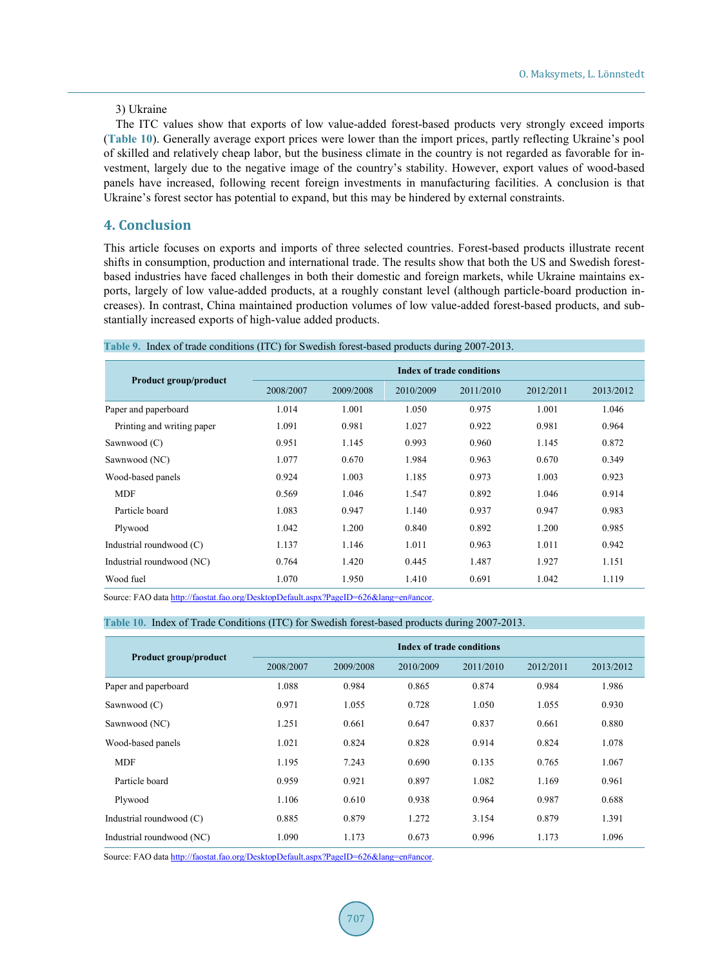## 3) Ukraine

The ITC values show that exports of low value-added forest-based products very strongly exceed imports (**[Table 10](#page-10-1)**). Generally average export prices were lower than the import prices, partly reflecting Ukraine's pool of skilled and relatively cheap labor, but the business climate in the country is not regarded as favorable for investment, largely due to the negative image of the country's stability. However, export values of wood-based panels have increased, following recent foreign investments in manufacturing facilities. A conclusion is that Ukraine's forest sector has potential to expand, but this may be hindered by external constraints.

# **4. Conclusion**

This article focuses on exports and imports of three selected countries. Forest-based products illustrate recent shifts in consumption, production and international trade. The results show that both the US and Swedish forestbased industries have faced challenges in both their domestic and foreign markets, while Ukraine maintains exports, largely of low value-added products, at a roughly constant level (although particle-board production increases). In contrast, China maintained production volumes of low value-added forest-based products, and substantially increased exports of high-value added products.

# <span id="page-10-0"></span>**Table 9.** Index of trade conditions (ITC) for Swedish forest-based products during 2007-2013.

|                            | <b>Index of trade conditions</b> |           |           |           |           |           |  |  |  |
|----------------------------|----------------------------------|-----------|-----------|-----------|-----------|-----------|--|--|--|
| Product group/product      | 2008/2007                        | 2009/2008 | 2010/2009 | 2011/2010 | 2012/2011 | 2013/2012 |  |  |  |
| Paper and paperboard       | 1.014                            | 1.001     | 1.050     | 0.975     | 1.001     | 1.046     |  |  |  |
| Printing and writing paper | 1.091                            | 0.981     | 1.027     | 0.922     | 0.981     | 0.964     |  |  |  |
| Sawnwood (C)               | 0.951                            | 1.145     | 0.993     | 0.960     | 1.145     | 0.872     |  |  |  |
| Sawnwood (NC)              | 1.077                            | 0.670     | 1.984     | 0.963     | 0.670     | 0.349     |  |  |  |
| Wood-based panels          | 0.924                            | 1.003     | 1.185     | 0.973     | 1.003     | 0.923     |  |  |  |
| <b>MDF</b>                 | 0.569                            | 1.046     | 1.547     | 0.892     | 1.046     | 0.914     |  |  |  |
| Particle board             | 1.083                            | 0.947     | 1.140     | 0.937     | 0.947     | 0.983     |  |  |  |
| Plywood                    | 1.042                            | 1.200     | 0.840     | 0.892     | 1.200     | 0.985     |  |  |  |
| Industrial roundwood (C)   | 1.137                            | 1.146     | 1.011     | 0.963     | 1.011     | 0.942     |  |  |  |
| Industrial roundwood (NC)  | 0.764                            | 1.420     | 0.445     | 1.487     | 1.927     | 1.151     |  |  |  |
| Wood fuel                  | 1.070                            | 1.950     | 1.410     | 0.691     | 1.042     | 1.119     |  |  |  |

Source: FAO dat[a http://faostat.fao.org/DesktopDefault.aspx?PageID=626&lang=en#ancor.](http://faostat.fao.org/DesktopDefault.aspx?PageID=626&lang=en%23ancor)

#### <span id="page-10-1"></span>**Table 10.** Index of Trade Conditions (ITC) for Swedish forest-based products during 2007-2013.

|                              | Index of trade conditions |           |           |           |           |           |  |  |  |
|------------------------------|---------------------------|-----------|-----------|-----------|-----------|-----------|--|--|--|
| <b>Product group/product</b> | 2008/2007                 | 2009/2008 | 2010/2009 | 2011/2010 | 2012/2011 | 2013/2012 |  |  |  |
| Paper and paperboard         | 1.088                     | 0.984     | 0.865     | 0.874     | 0.984     | 1.986     |  |  |  |
| Sawnwood (C)                 | 0.971                     | 1.055     | 0.728     | 1.050     | 1.055     | 0.930     |  |  |  |
| Sawnwood (NC)                | 1.251                     | 0.661     | 0.647     | 0.837     | 0.661     | 0.880     |  |  |  |
| Wood-based panels            | 1.021                     | 0.824     | 0.828     | 0.914     | 0.824     | 1.078     |  |  |  |
| <b>MDF</b>                   | 1.195                     | 7.243     | 0.690     | 0.135     | 0.765     | 1.067     |  |  |  |
| Particle board               | 0.959                     | 0.921     | 0.897     | 1.082     | 1.169     | 0.961     |  |  |  |
| Plywood                      | 1.106                     | 0.610     | 0.938     | 0.964     | 0.987     | 0.688     |  |  |  |
| Industrial roundwood (C)     | 0.885                     | 0.879     | 1.272     | 3.154     | 0.879     | 1.391     |  |  |  |
| Industrial roundwood (NC)    | 1.090                     | 1.173     | 0.673     | 0.996     | 1.173     | 1.096     |  |  |  |

Source: FAO dat[a http://faostat.fao.org/DesktopDefault.aspx?PageID=626&lang=en#ancor.](http://faostat.fao.org/DesktopDefault.aspx?PageID=626&lang=en%23ancor)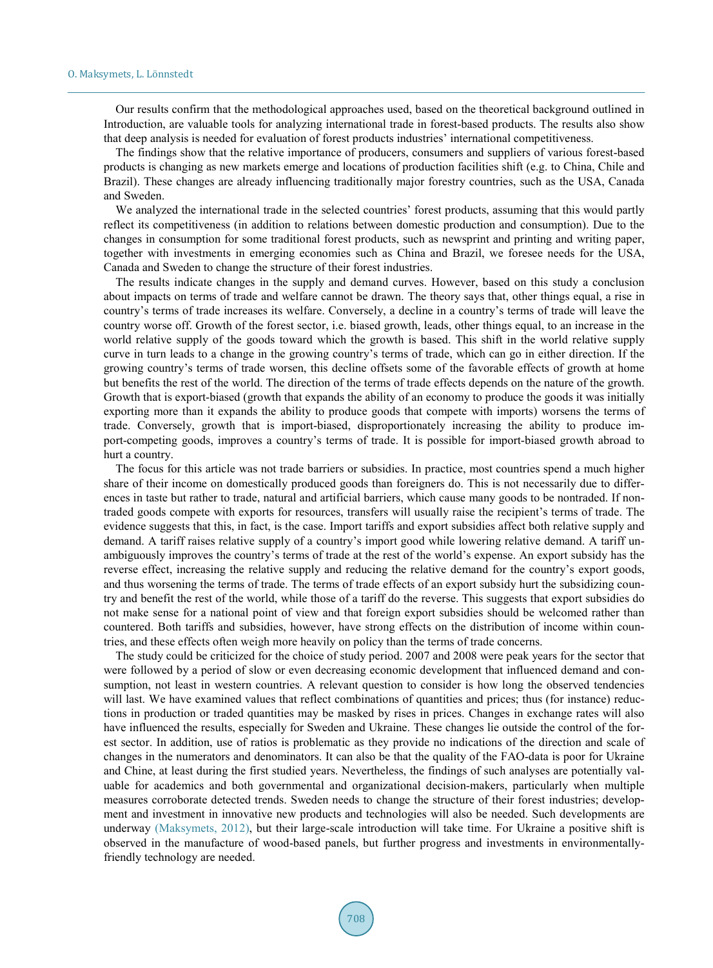Our results confirm that the methodological approaches used, based on the theoretical background outlined in Introduction, are valuable tools for analyzing international trade in forest-based products. The results also show that deep analysis is needed for evaluation of forest products industries' international competitiveness.

The findings show that the relative importance of producers, consumers and suppliers of various forest-based products is changing as new markets emerge and locations of production facilities shift (e.g. to China, Chile and Brazil). These changes are already influencing traditionally major forestry countries, such as the USA, Canada and Sweden.

We analyzed the international trade in the selected countries' forest products, assuming that this would partly reflect its competitiveness (in addition to relations between domestic production and consumption). Due to the changes in consumption for some traditional forest products, such as newsprint and printing and writing paper, together with investments in emerging economies such as China and Brazil, we foresee needs for the USA, Canada and Sweden to change the structure of their forest industries.

The results indicate changes in the supply and demand curves. However, based on this study a conclusion about impacts on terms of trade and welfare cannot be drawn. The theory says that, other things equal, a rise in country's terms of trade increases its welfare. Conversely, a decline in a country's terms of trade will leave the country worse off. Growth of the forest sector, i.e. biased growth, leads, other things equal, to an increase in the world relative supply of the goods toward which the growth is based. This shift in the world relative supply curve in turn leads to a change in the growing country's terms of trade, which can go in either direction. If the growing country's terms of trade worsen, this decline offsets some of the favorable effects of growth at home but benefits the rest of the world. The direction of the terms of trade effects depends on the nature of the growth. Growth that is export-biased (growth that expands the ability of an economy to produce the goods it was initially exporting more than it expands the ability to produce goods that compete with imports) worsens the terms of trade. Conversely, growth that is import-biased, disproportionately increasing the ability to produce import-competing goods, improves a country's terms of trade. It is possible for import-biased growth abroad to hurt a country.

The focus for this article was not trade barriers or subsidies. In practice, most countries spend a much higher share of their income on domestically produced goods than foreigners do. This is not necessarily due to differences in taste but rather to trade, natural and artificial barriers, which cause many goods to be nontraded. If nontraded goods compete with exports for resources, transfers will usually raise the recipient's terms of trade. The evidence suggests that this, in fact, is the case. Import tariffs and export subsidies affect both relative supply and demand. A tariff raises relative supply of a country's import good while lowering relative demand. A tariff unambiguously improves the country's terms of trade at the rest of the world's expense. An export subsidy has the reverse effect, increasing the relative supply and reducing the relative demand for the country's export goods, and thus worsening the terms of trade. The terms of trade effects of an export subsidy hurt the subsidizing country and benefit the rest of the world, while those of a tariff do the reverse. This suggests that export subsidies do not make sense for a national point of view and that foreign export subsidies should be welcomed rather than countered. Both tariffs and subsidies, however, have strong effects on the distribution of income within countries, and these effects often weigh more heavily on policy than the terms of trade concerns.

The study could be criticized for the choice of study period. 2007 and 2008 were peak years for the sector that were followed by a period of slow or even decreasing economic development that influenced demand and consumption, not least in western countries. A relevant question to consider is how long the observed tendencies will last. We have examined values that reflect combinations of quantities and prices; thus (for instance) reductions in production or traded quantities may be masked by rises in prices. Changes in exchange rates will also have influenced the results, especially for Sweden and Ukraine. These changes lie outside the control of the forest sector. In addition, use of ratios is problematic as they provide no indications of the direction and scale of changes in the numerators and denominators. It can also be that the quality of the FAO-data is poor for Ukraine and Chine, at least during the first studied years. Nevertheless, the findings of such analyses are potentially valuable for academics and both governmental and organizational decision-makers, particularly when multiple measures corroborate detected trends. Sweden needs to change the structure of their forest industries; development and investment in innovative new products and technologies will also be needed. Such developments are underway [\(Maksymets, 2012\),](#page-12-0) but their large-scale introduction will take time. For Ukraine a positive shift is observed in the manufacture of wood-based panels, but further progress and investments in environmentallyfriendly technology are needed.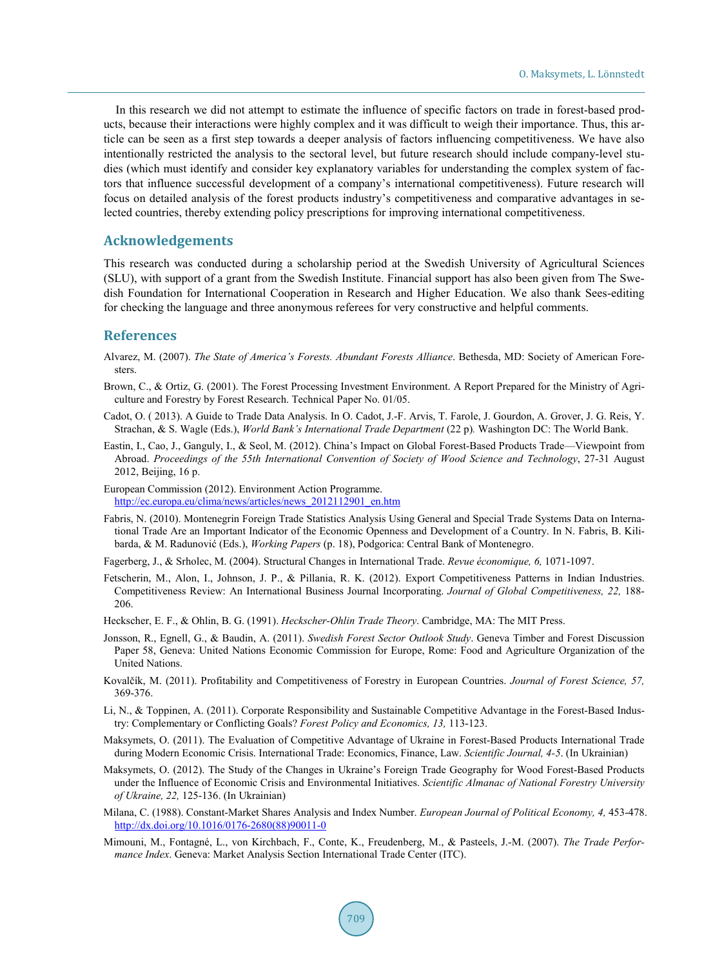In this research we did not attempt to estimate the influence of specific factors on trade in forest-based products, because their interactions were highly complex and it was difficult to weigh their importance. Thus, this article can be seen as a first step towards a deeper analysis of factors influencing competitiveness. We have also intentionally restricted the analysis to the sectoral level, but future research should include company-level studies (which must identify and consider key explanatory variables for understanding the complex system of factors that influence successful development of a company's international competitiveness). Future research will focus on detailed analysis of the forest products industry's competitiveness and comparative advantages in selected countries, thereby extending policy prescriptions for improving international competitiveness.

# **Acknowledgements**

This research was conducted during a scholarship period at the Swedish University of Agricultural Sciences (SLU), with support of a grant from the Swedish Institute. Financial support has also been given from The Swedish Foundation for International Cooperation in Research and Higher Education. We also thank Sees-editing for checking the language and three anonymous referees for very constructive and helpful comments.

## **References**

- <span id="page-12-0"></span>Alvarez, M. (2007). *The State of America's Forests. Abundant Forests Alliance*. Bethesda, MD: Society of American Foresters.
- Brown, C., & Ortiz, G. (2001). The Forest Processing Investment Environment. A Report Prepared for the Ministry of Agriculture and Forestry by Forest Research. Technical Paper No. 01/05.
- Cadot, O. ( 2013). A Guide to Trade Data Analysis. In O. Cadot, J.-F. Arvis, T. Farole, J. Gourdon, A. Grover, J. G. Reis, Y. Strachan, & S. Wagle (Eds.), *World Bank's International Trade Department* (22 p)*.* Washington DC: The World Bank.
- Eastin, I., Cao, J., Ganguly, I., & Seol, M. (2012). China's Impact on Global Forest-Based Products Trade—Viewpoint from Abroad. *Proceedings of the 55th International Convention of Society of Wood Science and Technology*, 27-31 August 2012, Beijing, 16 p.

European Commission (2012). Environment Action Programme. [http://ec.europa.eu/clima/news/articles/news\\_2012112901\\_en.htm](http://ec.europa.eu/clima/news/articles/news_2012112901_en.htm)

Fabris, N. (2010). Montenegrin Foreign Trade Statistics Analysis Using General and Special Trade Systems Data on International Trade Are an Important Indicator of the Economic Openness and Development of a Country. In N. Fabris, B. Kilibarda, & M. Radunović (Eds.), *Working Papers* (p. 18), Podgorica: Central Bank of Montenegro.

Fagerberg, J., & Srholec, M. (2004). Structural Changes in International Trade. *Revue économique, 6,* 1071-1097.

- Fetscherin, M., Alon, I., Johnson, J. P., & Pillania, R. K. (2012). Export Competitiveness Patterns in Indian Industries. Competitiveness Review: An International Business Journal Incorporating. *Journal of Global Competitiveness, 22,* 188- 206.
- Heckscher, E. F., & Ohlin, B. G. (1991). *Heckscher-Ohlin Trade Theory*. Cambridge, MA: The MIT Press.
- Jonsson, R., Egnell, G., & Baudin, A. (2011). *Swedish Forest Sector Outlook Study*. Geneva Timber and Forest Discussion Paper 58, Geneva: United Nations Economic Commission for Europe, Rome: Food and Agriculture Organization of the United Nations.
- Kovalčík, M. (2011). Profitability and Competitiveness of Forestry in European Countries. *Journal of Forest Science, 57,* 369-376.
- Li, N., & Toppinen, A. (2011). Corporate Responsibility and Sustainable Competitive Advantage in the Forest-Based Industry: Complementary or Conflicting Goals? *Forest Policy and Economics, 13,* 113-123.
- Maksymets, O. (2011). The Evaluation of Competitive Advantage of Ukraine in Forest-Based Products International Trade during Modern Economic Crisis. International Trade: Economics, Finance, Law. *Scientific Journal, 4-5*. (In Ukrainian)
- Maksymets, O. (2012). The Study of the Changes in Ukraine's Foreign Trade Geography for Wood Forest-Based Products under the Influence of Economic Crisis and Environmental Initiatives. *Scientific Almanac of National Forestry University of Ukraine, 22,* 125-136. (In Ukrainian)
- Milana, C. (1988). Constant-Market Shares Analysis and Index Number. *European Journal of Political Economy, 4,* 453-478. [http://dx.doi.org/10.1016/0176-2680\(88\)90011-0](http://dx.doi.org/10.1016/0176-2680(88)90011-0)
- Mimouni, M., Fontagné, L., von Kirchbach, F., Conte, K., Freudenberg, M., & Pasteels, J.-M. (2007). *The Trade Performance Index*. Geneva: Market Analysis Section International Trade Center (ITC).